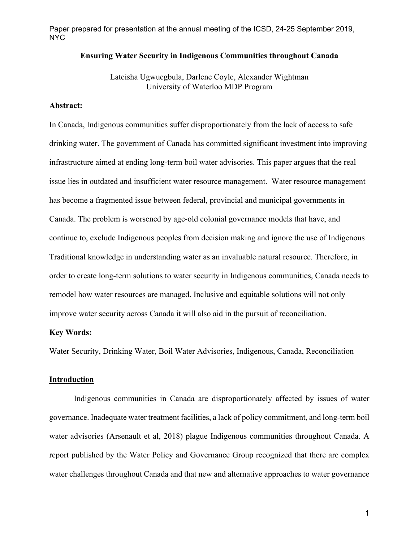### **Ensuring Water Security in Indigenous Communities throughout Canada**

Lateisha Ugwuegbula, Darlene Coyle, Alexander Wightman University of Waterloo MDP Program

# **Abstract:**

In Canada, Indigenous communities suffer disproportionately from the lack of access to safe drinking water. The government of Canada has committed significant investment into improving infrastructure aimed at ending long-term boil water advisories. This paper argues that the real issue lies in outdated and insufficient water resource management. Water resource management has become a fragmented issue between federal, provincial and municipal governments in Canada. The problem is worsened by age-old colonial governance models that have, and continue to, exclude Indigenous peoples from decision making and ignore the use of Indigenous Traditional knowledge in understanding water as an invaluable natural resource. Therefore, in order to create long-term solutions to water security in Indigenous communities, Canada needs to remodel how water resources are managed. Inclusive and equitable solutions will not only improve water security across Canada it will also aid in the pursuit of reconciliation.

### **Key Words:**

Water Security, Drinking Water, Boil Water Advisories, Indigenous, Canada, Reconciliation

### **Introduction**

Indigenous communities in Canada are disproportionately affected by issues of water governance. Inadequate water treatment facilities, a lack of policy commitment, and long-term boil water advisories (Arsenault et al, 2018) plague Indigenous communities throughout Canada. A report published by the Water Policy and Governance Group recognized that there are complex water challenges throughout Canada and that new and alternative approaches to water governance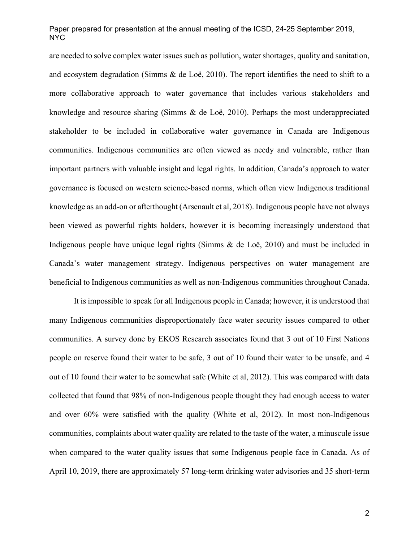are needed to solve complex water issues such as pollution, water shortages, quality and sanitation, and ecosystem degradation (Simms  $\&$  de Loë, 2010). The report identifies the need to shift to a more collaborative approach to water governance that includes various stakeholders and knowledge and resource sharing (Simms & de Loë, 2010). Perhaps the most underappreciated stakeholder to be included in collaborative water governance in Canada are Indigenous communities. Indigenous communities are often viewed as needy and vulnerable, rather than important partners with valuable insight and legal rights. In addition, Canada's approach to water governance is focused on western science-based norms, which often view Indigenous traditional knowledge as an add-on or afterthought (Arsenault et al, 2018). Indigenous people have not always been viewed as powerful rights holders, however it is becoming increasingly understood that Indigenous people have unique legal rights (Simms & de Loë, 2010) and must be included in Canada's water management strategy. Indigenous perspectives on water management are beneficial to Indigenous communities as well as non-Indigenous communities throughout Canada.

It is impossible to speak for all Indigenous people in Canada; however, it is understood that many Indigenous communities disproportionately face water security issues compared to other communities. A survey done by EKOS Research associates found that 3 out of 10 First Nations people on reserve found their water to be safe, 3 out of 10 found their water to be unsafe, and 4 out of 10 found their water to be somewhat safe (White et al, 2012). This was compared with data collected that found that 98% of non-Indigenous people thought they had enough access to water and over 60% were satisfied with the quality (White et al, 2012). In most non-Indigenous communities, complaints about water quality are related to the taste of the water, a minuscule issue when compared to the water quality issues that some Indigenous people face in Canada. As of April 10, 2019, there are approximately 57 long-term drinking water advisories and 35 short-term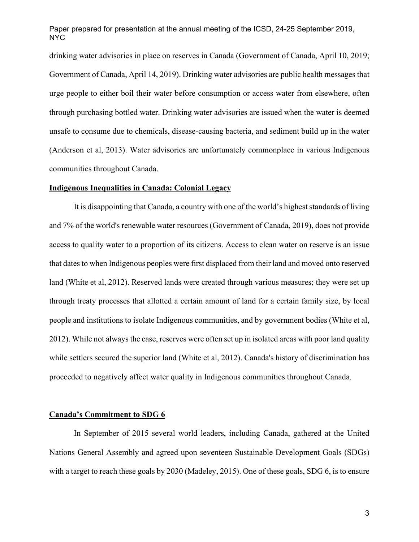drinking water advisories in place on reserves in Canada (Government of Canada, April 10, 2019; Government of Canada, April 14, 2019). Drinking water advisories are public health messages that urge people to either boil their water before consumption or access water from elsewhere, often through purchasing bottled water. Drinking water advisories are issued when the water is deemed unsafe to consume due to chemicals, disease-causing bacteria, and sediment build up in the water (Anderson et al, 2013). Water advisories are unfortunately commonplace in various Indigenous communities throughout Canada.

### **Indigenous Inequalities in Canada: Colonial Legacy**

It is disappointing that Canada, a country with one of the world's highest standards of living and 7% of the world's renewable water resources (Government of Canada, 2019), does not provide access to quality water to a proportion of its citizens. Access to clean water on reserve is an issue that dates to when Indigenous peoples were first displaced from their land and moved onto reserved land (White et al, 2012). Reserved lands were created through various measures; they were set up through treaty processes that allotted a certain amount of land for a certain family size, by local people and institutions to isolate Indigenous communities, and by government bodies (White et al, 2012). While not always the case, reserves were often set up in isolated areas with poor land quality while settlers secured the superior land (White et al, 2012). Canada's history of discrimination has proceeded to negatively affect water quality in Indigenous communities throughout Canada.

# **Canada's Commitment to SDG 6**

In September of 2015 several world leaders, including Canada, gathered at the United Nations General Assembly and agreed upon seventeen Sustainable Development Goals (SDGs) with a target to reach these goals by 2030 (Madeley, 2015). One of these goals, SDG 6, is to ensure

3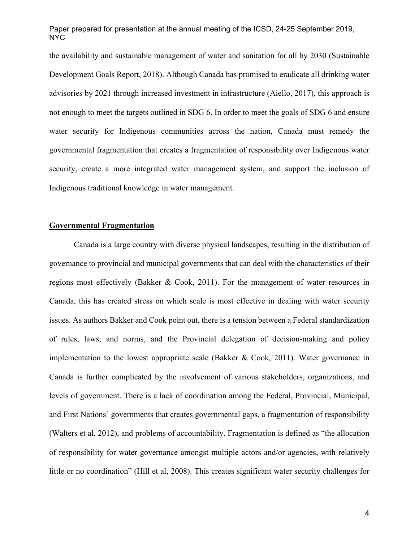the availability and sustainable management of water and sanitation for all by 2030 (Sustainable Development Goals Report, 2018). Although Canada has promised to eradicate all drinking water advisories by 2021 through increased investment in infrastructure (Aiello, 2017), this approach is not enough to meet the targets outlined in SDG 6. In order to meet the goals of SDG 6 and ensure water security for Indigenous communities across the nation, Canada must remedy the governmental fragmentation that creates a fragmentation of responsibility over Indigenous water security, create a more integrated water management system, and support the inclusion of Indigenous traditional knowledge in water management.

# **Governmental Fragmentation**

Canada is a large country with diverse physical landscapes, resulting in the distribution of governance to provincial and municipal governments that can deal with the characteristics of their regions most effectively (Bakker & Cook, 2011). For the management of water resources in Canada, this has created stress on which scale is most effective in dealing with water security issues. As authors Bakker and Cook point out, there is a tension between a Federal standardization of rules, laws, and norms, and the Provincial delegation of decision-making and policy implementation to the lowest appropriate scale (Bakker & Cook, 2011). Water governance in Canada is further complicated by the involvement of various stakeholders, organizations, and levels of government. There is a lack of coordination among the Federal, Provincial, Municipal, and First Nations' governments that creates governmental gaps, a fragmentation of responsibility (Walters et al, 2012), and problems of accountability. Fragmentation is defined as "the allocation of responsibility for water governance amongst multiple actors and/or agencies, with relatively little or no coordination" (Hill et al, 2008). This creates significant water security challenges for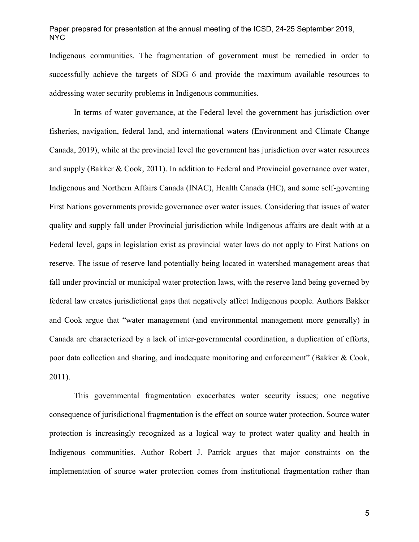Indigenous communities. The fragmentation of government must be remedied in order to successfully achieve the targets of SDG 6 and provide the maximum available resources to addressing water security problems in Indigenous communities.

In terms of water governance, at the Federal level the government has jurisdiction over fisheries, navigation, federal land, and international waters (Environment and Climate Change Canada, 2019), while at the provincial level the government has jurisdiction over water resources and supply (Bakker & Cook, 2011). In addition to Federal and Provincial governance over water, Indigenous and Northern Affairs Canada (INAC), Health Canada (HC), and some self-governing First Nations governments provide governance over water issues. Considering that issues of water quality and supply fall under Provincial jurisdiction while Indigenous affairs are dealt with at a Federal level, gaps in legislation exist as provincial water laws do not apply to First Nations on reserve. The issue of reserve land potentially being located in watershed management areas that fall under provincial or municipal water protection laws, with the reserve land being governed by federal law creates jurisdictional gaps that negatively affect Indigenous people. Authors Bakker and Cook argue that "water management (and environmental management more generally) in Canada are characterized by a lack of inter-governmental coordination, a duplication of efforts, poor data collection and sharing, and inadequate monitoring and enforcement" (Bakker & Cook, 2011).

This governmental fragmentation exacerbates water security issues; one negative consequence of jurisdictional fragmentation is the effect on source water protection. Source water protection is increasingly recognized as a logical way to protect water quality and health in Indigenous communities. Author Robert J. Patrick argues that major constraints on the implementation of source water protection comes from institutional fragmentation rather than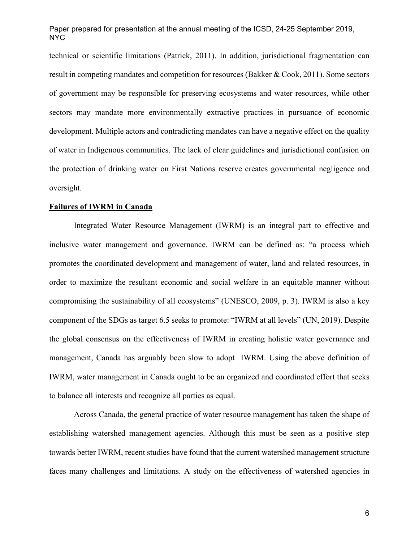technical or scientific limitations (Patrick, 2011). In addition, jurisdictional fragmentation can result in competing mandates and competition for resources (Bakker & Cook, 2011). Some sectors of government may be responsible for preserving ecosystems and water resources, while other sectors may mandate more environmentally extractive practices in pursuance of economic development. Multiple actors and contradicting mandates can have a negative effect on the quality of water in Indigenous communities. The lack of clear guidelines and jurisdictional confusion on the protection of drinking water on First Nations reserve creates governmental negligence and oversight.

#### **Failures of IWRM in Canada**

Integrated Water Resource Management (IWRM) is an integral part to effective and inclusive water management and governance. IWRM can be defined as: "a process which promotes the coordinated development and management of water, land and related resources, in order to maximize the resultant economic and social welfare in an equitable manner without compromising the sustainability of all ecosystems" (UNESCO, 2009, p. 3). IWRM is also a key component of the SDGs as target 6.5 seeks to promote: "IWRM at all levels" (UN, 2019). Despite the global consensus on the effectiveness of IWRM in creating holistic water governance and management, Canada has arguably been slow to adopt IWRM. Using the above definition of IWRM, water management in Canada ought to be an organized and coordinated effort that seeks to balance all interests and recognize all parties as equal.

 Across Canada, the general practice of water resource management has taken the shape of establishing watershed management agencies. Although this must be seen as a positive step towards better IWRM, recent studies have found that the current watershed management structure faces many challenges and limitations. A study on the effectiveness of watershed agencies in

6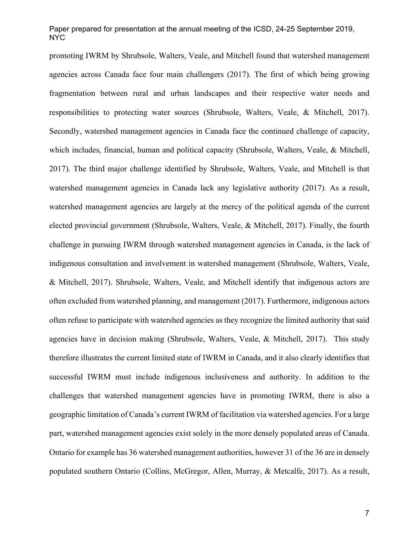promoting IWRM by Shrubsole, Walters, Veale, and Mitchell found that watershed management agencies across Canada face four main challengers (2017). The first of which being growing fragmentation between rural and urban landscapes and their respective water needs and responsibilities to protecting water sources (Shrubsole, Walters, Veale, & Mitchell, 2017). Secondly, watershed management agencies in Canada face the continued challenge of capacity, which includes, financial, human and political capacity (Shrubsole, Walters, Veale, & Mitchell, 2017). The third major challenge identified by Shrubsole, Walters, Veale, and Mitchell is that watershed management agencies in Canada lack any legislative authority (2017). As a result, watershed management agencies are largely at the mercy of the political agenda of the current elected provincial government (Shrubsole, Walters, Veale, & Mitchell, 2017). Finally, the fourth challenge in pursuing IWRM through watershed management agencies in Canada, is the lack of indigenous consultation and involvement in watershed management (Shrubsole, Walters, Veale, & Mitchell, 2017). Shrubsole, Walters, Veale, and Mitchell identify that indigenous actors are often excluded from watershed planning, and management (2017). Furthermore, indigenous actors often refuse to participate with watershed agencies as they recognize the limited authority that said agencies have in decision making (Shrubsole, Walters, Veale, & Mitchell, 2017). This study therefore illustrates the current limited state of IWRM in Canada, and it also clearly identifies that successful IWRM must include indigenous inclusiveness and authority. In addition to the challenges that watershed management agencies have in promoting IWRM, there is also a geographic limitation of Canada's current IWRM of facilitation via watershed agencies. For a large part, watershed management agencies exist solely in the more densely populated areas of Canada. Ontario for example has 36 watershed management authorities, however 31 of the 36 are in densely populated southern Ontario (Collins, McGregor, Allen, Murray, & Metcalfe, 2017). As a result,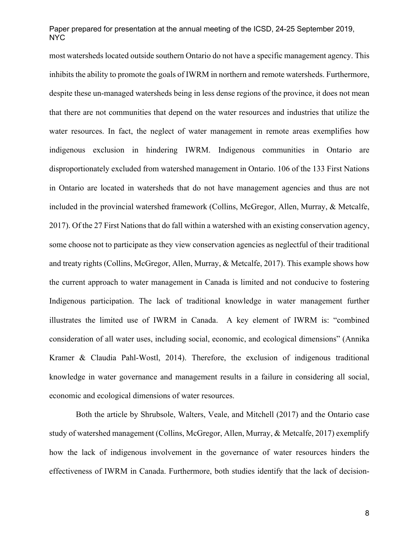most watersheds located outside southern Ontario do not have a specific management agency. This inhibits the ability to promote the goals of IWRM in northern and remote watersheds. Furthermore, despite these un-managed watersheds being in less dense regions of the province, it does not mean that there are not communities that depend on the water resources and industries that utilize the water resources. In fact, the neglect of water management in remote areas exemplifies how indigenous exclusion in hindering IWRM. Indigenous communities in Ontario are disproportionately excluded from watershed management in Ontario. 106 of the 133 First Nations in Ontario are located in watersheds that do not have management agencies and thus are not included in the provincial watershed framework (Collins, McGregor, Allen, Murray, & Metcalfe, 2017). Of the 27 First Nations that do fall within a watershed with an existing conservation agency, some choose not to participate as they view conservation agencies as neglectful of their traditional and treaty rights (Collins, McGregor, Allen, Murray, & Metcalfe, 2017). This example shows how the current approach to water management in Canada is limited and not conducive to fostering Indigenous participation. The lack of traditional knowledge in water management further illustrates the limited use of IWRM in Canada. A key element of IWRM is: "combined consideration of all water uses, including social, economic, and ecological dimensions" (Annika Kramer & Claudia Pahl-Wostl, 2014). Therefore, the exclusion of indigenous traditional knowledge in water governance and management results in a failure in considering all social, economic and ecological dimensions of water resources.

Both the article by Shrubsole, Walters, Veale, and Mitchell (2017) and the Ontario case study of watershed management (Collins, McGregor, Allen, Murray, & Metcalfe, 2017) exemplify how the lack of indigenous involvement in the governance of water resources hinders the effectiveness of IWRM in Canada. Furthermore, both studies identify that the lack of decision-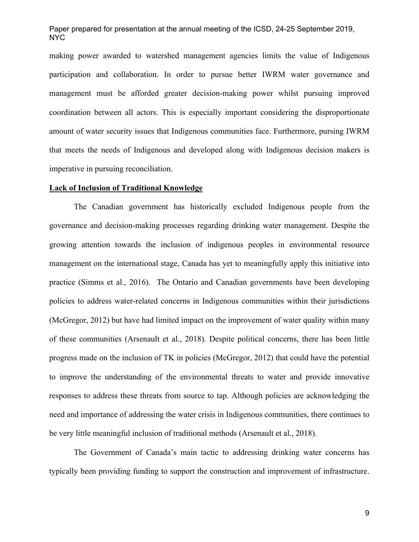making power awarded to watershed management agencies limits the value of Indigenous participation and collaboration. In order to pursue better IWRM water governance and management must be afforded greater decision-making power whilst pursuing improved coordination between all actors. This is especially important considering the disproportionate amount of water security issues that Indigenous communities face. Furthermore, pursing IWRM that meets the needs of Indigenous and developed along with Indigenous decision makers is imperative in pursuing reconciliation.

### **Lack of Inclusion of Traditional Knowledge**

The Canadian government has historically excluded Indigenous people from the governance and decision-making processes regarding drinking water management. Despite the growing attention towards the inclusion of indigenous peoples in environmental resource management on the international stage, Canada has yet to meaningfully apply this initiative into practice (Simms et al., 2016). The Ontario and Canadian governments have been developing policies to address water-related concerns in Indigenous communities within their jurisdictions (McGregor, 2012) but have had limited impact on the improvement of water quality within many of these communities (Arsenault et al., 2018). Despite political concerns, there has been little progress made on the inclusion of TK in policies (McGregor, 2012) that could have the potential to improve the understanding of the environmental threats to water and provide innovative responses to address these threats from source to tap. Although policies are acknowledging the need and importance of addressing the water crisis in Indigenous communities, there continues to be very little meaningful inclusion of traditional methods (Arsenault et al., 2018).

The Government of Canada's main tactic to addressing drinking water concerns has typically been providing funding to support the construction and improvement of infrastructure.

9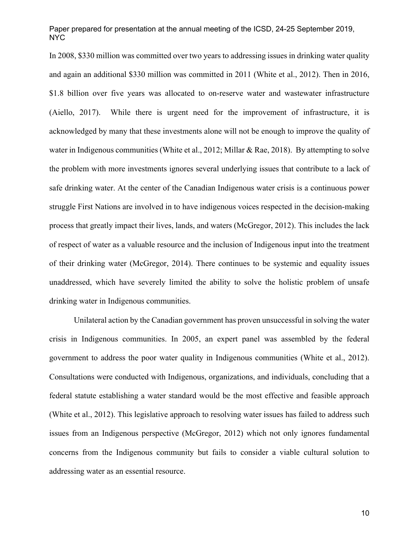In 2008, \$330 million was committed over two years to addressing issues in drinking water quality and again an additional \$330 million was committed in 2011 (White et al., 2012). Then in 2016, \$1.8 billion over five years was allocated to on-reserve water and wastewater infrastructure (Aiello, 2017). While there is urgent need for the improvement of infrastructure, it is acknowledged by many that these investments alone will not be enough to improve the quality of water in Indigenous communities (White et al., 2012; Millar & Rae, 2018). By attempting to solve the problem with more investments ignores several underlying issues that contribute to a lack of safe drinking water. At the center of the Canadian Indigenous water crisis is a continuous power struggle First Nations are involved in to have indigenous voices respected in the decision-making process that greatly impact their lives, lands, and waters (McGregor, 2012). This includes the lack of respect of water as a valuable resource and the inclusion of Indigenous input into the treatment of their drinking water (McGregor, 2014). There continues to be systemic and equality issues unaddressed, which have severely limited the ability to solve the holistic problem of unsafe drinking water in Indigenous communities.

Unilateral action by the Canadian government has proven unsuccessful in solving the water crisis in Indigenous communities. In 2005, an expert panel was assembled by the federal government to address the poor water quality in Indigenous communities (White et al., 2012). Consultations were conducted with Indigenous, organizations, and individuals, concluding that a federal statute establishing a water standard would be the most effective and feasible approach (White et al., 2012). This legislative approach to resolving water issues has failed to address such issues from an Indigenous perspective (McGregor, 2012) which not only ignores fundamental concerns from the Indigenous community but fails to consider a viable cultural solution to addressing water as an essential resource.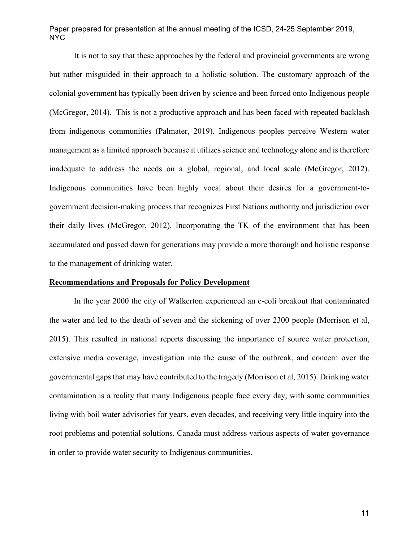It is not to say that these approaches by the federal and provincial governments are wrong but rather misguided in their approach to a holistic solution. The customary approach of the colonial government has typically been driven by science and been forced onto Indigenous people (McGregor, 2014). This is not a productive approach and has been faced with repeated backlash from indigenous communities (Palmater, 2019). Indigenous peoples perceive Western water management as a limited approach because it utilizes science and technology alone and is therefore inadequate to address the needs on a global, regional, and local scale (McGregor, 2012). Indigenous communities have been highly vocal about their desires for a government-togovernment decision-making process that recognizes First Nations authority and jurisdiction over their daily lives (McGregor, 2012). Incorporating the TK of the environment that has been accumulated and passed down for generations may provide a more thorough and holistic response to the management of drinking water.

#### **Recommendations and Proposals for Policy Development**

In the year 2000 the city of Walkerton experienced an e-coli breakout that contaminated the water and led to the death of seven and the sickening of over 2300 people (Morrison et al, 2015). This resulted in national reports discussing the importance of source water protection, extensive media coverage, investigation into the cause of the outbreak, and concern over the governmental gaps that may have contributed to the tragedy (Morrison et al, 2015). Drinking water contamination is a reality that many Indigenous people face every day, with some communities living with boil water advisories for years, even decades, and receiving very little inquiry into the root problems and potential solutions. Canada must address various aspects of water governance in order to provide water security to Indigenous communities.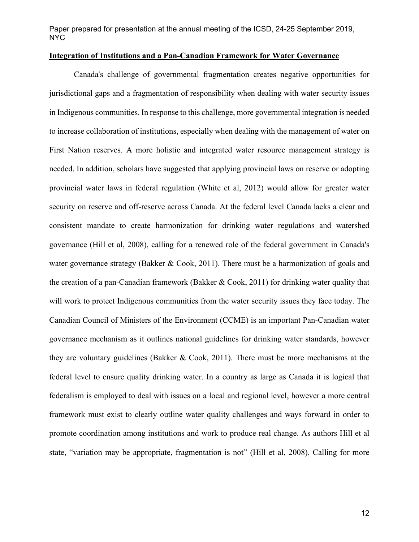# **Integration of Institutions and a Pan-Canadian Framework for Water Governance**

 Canada's challenge of governmental fragmentation creates negative opportunities for jurisdictional gaps and a fragmentation of responsibility when dealing with water security issues in Indigenous communities. In response to this challenge, more governmental integration is needed to increase collaboration of institutions, especially when dealing with the management of water on First Nation reserves. A more holistic and integrated water resource management strategy is needed. In addition, scholars have suggested that applying provincial laws on reserve or adopting provincial water laws in federal regulation (White et al, 2012) would allow for greater water security on reserve and off-reserve across Canada. At the federal level Canada lacks a clear and consistent mandate to create harmonization for drinking water regulations and watershed governance (Hill et al, 2008), calling for a renewed role of the federal government in Canada's water governance strategy (Bakker & Cook, 2011). There must be a harmonization of goals and the creation of a pan-Canadian framework (Bakker & Cook, 2011) for drinking water quality that will work to protect Indigenous communities from the water security issues they face today. The Canadian Council of Ministers of the Environment (CCME) is an important Pan-Canadian water governance mechanism as it outlines national guidelines for drinking water standards, however they are voluntary guidelines (Bakker & Cook, 2011). There must be more mechanisms at the federal level to ensure quality drinking water. In a country as large as Canada it is logical that federalism is employed to deal with issues on a local and regional level, however a more central framework must exist to clearly outline water quality challenges and ways forward in order to promote coordination among institutions and work to produce real change. As authors Hill et al state, "variation may be appropriate, fragmentation is not" (Hill et al, 2008). Calling for more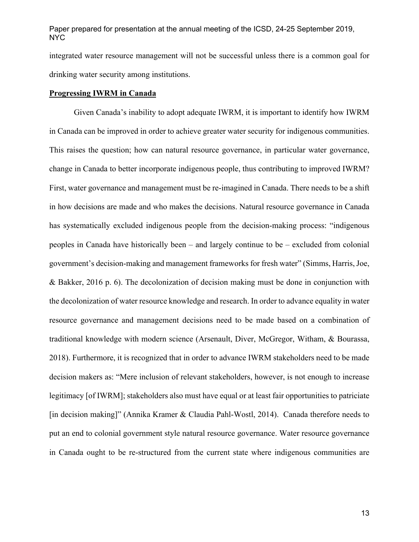integrated water resource management will not be successful unless there is a common goal for drinking water security among institutions.

#### **Progressing IWRM in Canada**

Given Canada's inability to adopt adequate IWRM, it is important to identify how IWRM in Canada can be improved in order to achieve greater water security for indigenous communities. This raises the question; how can natural resource governance, in particular water governance, change in Canada to better incorporate indigenous people, thus contributing to improved IWRM? First, water governance and management must be re-imagined in Canada. There needs to be a shift in how decisions are made and who makes the decisions. Natural resource governance in Canada has systematically excluded indigenous people from the decision-making process: "indigenous peoples in Canada have historically been – and largely continue to be – excluded from colonial government's decision-making and management frameworks for fresh water" (Simms, Harris, Joe, & Bakker, 2016 p. 6). The decolonization of decision making must be done in conjunction with the decolonization of water resource knowledge and research. In order to advance equality in water resource governance and management decisions need to be made based on a combination of traditional knowledge with modern science (Arsenault, Diver, McGregor, Witham, & Bourassa, 2018). Furthermore, it is recognized that in order to advance IWRM stakeholders need to be made decision makers as: "Mere inclusion of relevant stakeholders, however, is not enough to increase legitimacy [of IWRM]; stakeholders also must have equal or at least fair opportunities to patriciate [in decision making]" (Annika Kramer & Claudia Pahl-Wostl, 2014). Canada therefore needs to put an end to colonial government style natural resource governance. Water resource governance in Canada ought to be re-structured from the current state where indigenous communities are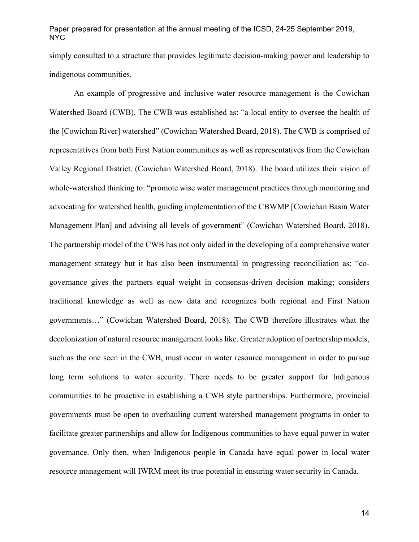simply consulted to a structure that provides legitimate decision-making power and leadership to indigenous communities.

An example of progressive and inclusive water resource management is the Cowichan Watershed Board (CWB). The CWB was established as: "a local entity to oversee the health of the [Cowichan River] watershed" (Cowichan Watershed Board, 2018). The CWB is comprised of representatives from both First Nation communities as well as representatives from the Cowichan Valley Regional District. (Cowichan Watershed Board, 2018). The board utilizes their vision of whole-watershed thinking to: "promote wise water management practices through monitoring and advocating for watershed health, guiding implementation of the CBWMP [Cowichan Basin Water Management Plan] and advising all levels of government" (Cowichan Watershed Board, 2018). The partnership model of the CWB has not only aided in the developing of a comprehensive water management strategy but it has also been instrumental in progressing reconciliation as: "cogovernance gives the partners equal weight in consensus-driven decision making; considers traditional knowledge as well as new data and recognizes both regional and First Nation governments…" (Cowichan Watershed Board, 2018). The CWB therefore illustrates what the decolonization of natural resource management looks like. Greater adoption of partnership models, such as the one seen in the CWB, must occur in water resource management in order to pursue long term solutions to water security. There needs to be greater support for Indigenous communities to be proactive in establishing a CWB style partnerships. Furthermore, provincial governments must be open to overhauling current watershed management programs in order to facilitate greater partnerships and allow for Indigenous communities to have equal power in water governance. Only then, when Indigenous people in Canada have equal power in local water resource management will IWRM meet its true potential in ensuring water security in Canada.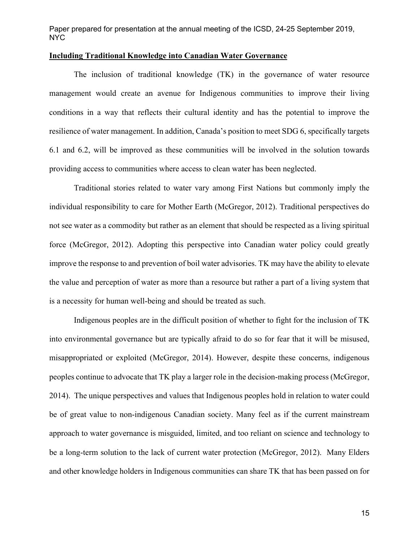#### **Including Traditional Knowledge into Canadian Water Governance**

The inclusion of traditional knowledge (TK) in the governance of water resource management would create an avenue for Indigenous communities to improve their living conditions in a way that reflects their cultural identity and has the potential to improve the resilience of water management. In addition, Canada's position to meet SDG 6, specifically targets 6.1 and 6.2, will be improved as these communities will be involved in the solution towards providing access to communities where access to clean water has been neglected.

Traditional stories related to water vary among First Nations but commonly imply the individual responsibility to care for Mother Earth (McGregor, 2012). Traditional perspectives do not see water as a commodity but rather as an element that should be respected as a living spiritual force (McGregor, 2012). Adopting this perspective into Canadian water policy could greatly improve the response to and prevention of boil water advisories. TK may have the ability to elevate the value and perception of water as more than a resource but rather a part of a living system that is a necessity for human well-being and should be treated as such.

Indigenous peoples are in the difficult position of whether to fight for the inclusion of TK into environmental governance but are typically afraid to do so for fear that it will be misused, misappropriated or exploited (McGregor, 2014). However, despite these concerns, indigenous peoples continue to advocate that TK play a larger role in the decision-making process (McGregor, 2014). The unique perspectives and values that Indigenous peoples hold in relation to water could be of great value to non-indigenous Canadian society. Many feel as if the current mainstream approach to water governance is misguided, limited, and too reliant on science and technology to be a long-term solution to the lack of current water protection (McGregor, 2012). Many Elders and other knowledge holders in Indigenous communities can share TK that has been passed on for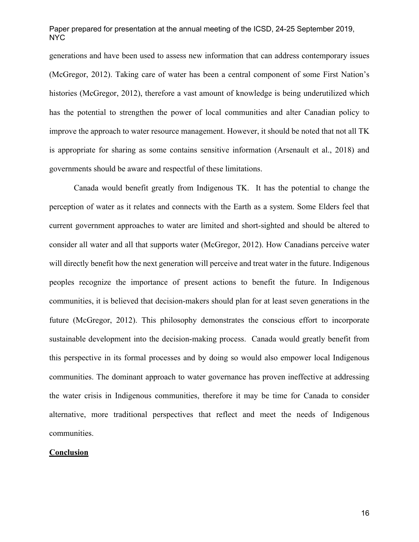generations and have been used to assess new information that can address contemporary issues (McGregor, 2012). Taking care of water has been a central component of some First Nation's histories (McGregor, 2012), therefore a vast amount of knowledge is being underutilized which has the potential to strengthen the power of local communities and alter Canadian policy to improve the approach to water resource management. However, it should be noted that not all TK is appropriate for sharing as some contains sensitive information (Arsenault et al., 2018) and governments should be aware and respectful of these limitations.

Canada would benefit greatly from Indigenous TK. It has the potential to change the perception of water as it relates and connects with the Earth as a system. Some Elders feel that current government approaches to water are limited and short-sighted and should be altered to consider all water and all that supports water (McGregor, 2012). How Canadians perceive water will directly benefit how the next generation will perceive and treat water in the future. Indigenous peoples recognize the importance of present actions to benefit the future. In Indigenous communities, it is believed that decision-makers should plan for at least seven generations in the future (McGregor, 2012). This philosophy demonstrates the conscious effort to incorporate sustainable development into the decision-making process. Canada would greatly benefit from this perspective in its formal processes and by doing so would also empower local Indigenous communities. The dominant approach to water governance has proven ineffective at addressing the water crisis in Indigenous communities, therefore it may be time for Canada to consider alternative, more traditional perspectives that reflect and meet the needs of Indigenous communities.

### **Conclusion**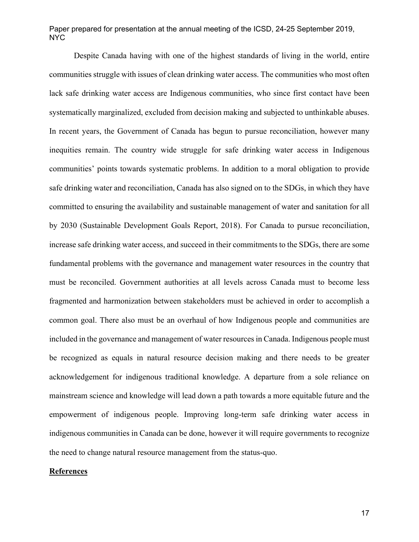Despite Canada having with one of the highest standards of living in the world, entire communities struggle with issues of clean drinking water access. The communities who most often lack safe drinking water access are Indigenous communities, who since first contact have been systematically marginalized, excluded from decision making and subjected to unthinkable abuses. In recent years, the Government of Canada has begun to pursue reconciliation, however many inequities remain. The country wide struggle for safe drinking water access in Indigenous communities' points towards systematic problems. In addition to a moral obligation to provide safe drinking water and reconciliation, Canada has also signed on to the SDGs, in which they have committed to ensuring the availability and sustainable management of water and sanitation for all by 2030 (Sustainable Development Goals Report, 2018). For Canada to pursue reconciliation, increase safe drinking water access, and succeed in their commitments to the SDGs, there are some fundamental problems with the governance and management water resources in the country that must be reconciled. Government authorities at all levels across Canada must to become less fragmented and harmonization between stakeholders must be achieved in order to accomplish a common goal. There also must be an overhaul of how Indigenous people and communities are included in the governance and management of water resources in Canada. Indigenous people must be recognized as equals in natural resource decision making and there needs to be greater acknowledgement for indigenous traditional knowledge. A departure from a sole reliance on mainstream science and knowledge will lead down a path towards a more equitable future and the empowerment of indigenous people. Improving long-term safe drinking water access in indigenous communities in Canada can be done, however it will require governments to recognize the need to change natural resource management from the status-quo.

### **References**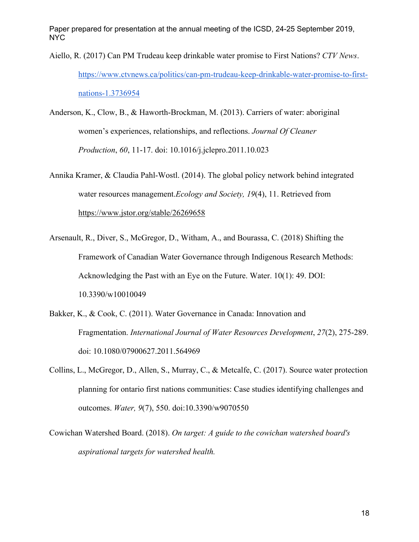- Aiello, R. (2017) Can PM Trudeau keep drinkable water promise to First Nations? *CTV News*. https://www.ctvnews.ca/politics/can-pm-trudeau-keep-drinkable-water-promise-to-firstnations-1.3736954
- Anderson, K., Clow, B., & Haworth-Brockman, M. (2013). Carriers of water: aboriginal women's experiences, relationships, and reflections. *Journal Of Cleaner Production*, *60*, 11-17. doi: 10.1016/j.jclepro.2011.10.023
- Annika Kramer, & Claudia Pahl-Wostl. (2014). The global policy network behind integrated water resources management.*Ecology and Society, 19*(4), 11. Retrieved from https://www.jstor.org/stable/26269658
- Arsenault, R., Diver, S., McGregor, D., Witham, A., and Bourassa, C. (2018) Shifting the Framework of Canadian Water Governance through Indigenous Research Methods: Acknowledging the Past with an Eye on the Future. Water. 10(1): 49. DOI: 10.3390/w10010049
- Bakker, K., & Cook, C. (2011). Water Governance in Canada: Innovation and Fragmentation. *International Journal of Water Resources Development*, *27*(2), 275-289. doi: 10.1080/07900627.2011.564969
- Collins, L., McGregor, D., Allen, S., Murray, C., & Metcalfe, C. (2017). Source water protection planning for ontario first nations communities: Case studies identifying challenges and outcomes. *Water, 9*(7), 550. doi:10.3390/w9070550
- Cowichan Watershed Board. (2018). *On target: A guide to the cowichan watershed board's aspirational targets for watershed health.*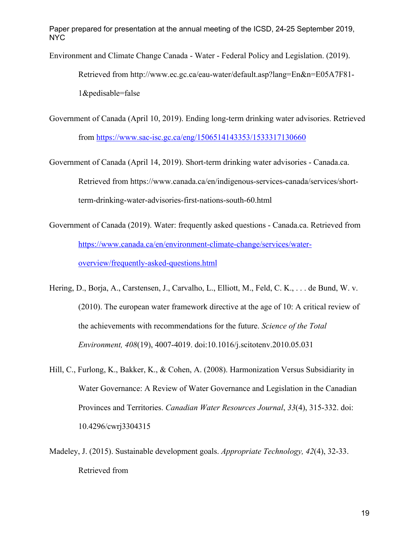Environment and Climate Change Canada - Water - Federal Policy and Legislation. (2019).

Retrieved from http://www.ec.gc.ca/eau-water/default.asp?lang=En&n=E05A7F81- 1&pedisable=false

- Government of Canada (April 10, 2019). Ending long-term drinking water advisories. Retrieved from https://www.sac-isc.gc.ca/eng/1506514143353/1533317130660
- Government of Canada (April 14, 2019). Short-term drinking water advisories Canada.ca. Retrieved from https://www.canada.ca/en/indigenous-services-canada/services/shortterm-drinking-water-advisories-first-nations-south-60.html
- Government of Canada (2019). Water: frequently asked questions Canada.ca. Retrieved from https://www.canada.ca/en/environment-climate-change/services/wateroverview/frequently-asked-questions.html
- Hering, D., Borja, A., Carstensen, J., Carvalho, L., Elliott, M., Feld, C. K., . . . de Bund, W. v. (2010). The european water framework directive at the age of 10: A critical review of the achievements with recommendations for the future. *Science of the Total Environment, 408*(19), 4007-4019. doi:10.1016/j.scitotenv.2010.05.031
- Hill, C., Furlong, K., Bakker, K., & Cohen, A. (2008). Harmonization Versus Subsidiarity in Water Governance: A Review of Water Governance and Legislation in the Canadian Provinces and Territories. *Canadian Water Resources Journal*, *33*(4), 315-332. doi: 10.4296/cwrj3304315
- Madeley, J. (2015). Sustainable development goals. *Appropriate Technology, 42*(4), 32-33. Retrieved from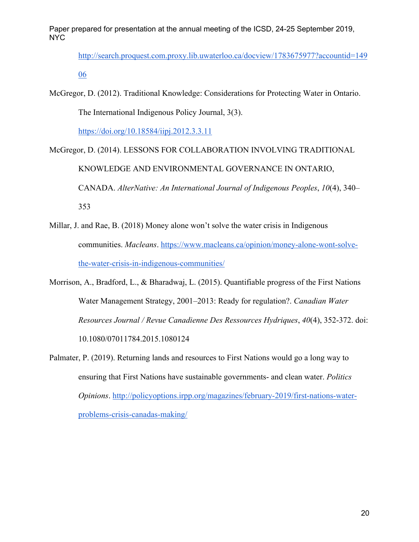http://search.proquest.com.proxy.lib.uwaterloo.ca/docview/1783675977?accountid=149 06

McGregor, D. (2012). Traditional Knowledge: Considerations for Protecting Water in Ontario. The International Indigenous Policy Journal, 3(3).

https://doi.org/10.18584/iipj.2012.3.3.11

- McGregor, D. (2014). LESSONS FOR COLLABORATION INVOLVING TRADITIONAL KNOWLEDGE AND ENVIRONMENTAL GOVERNANCE IN ONTARIO, CANADA. *AlterNative: An International Journal of Indigenous Peoples*, *10*(4), 340– 353
- Millar, J. and Rae, B. (2018) Money alone won't solve the water crisis in Indigenous communities. *Macleans*. https://www.macleans.ca/opinion/money-alone-wont-solvethe-water-crisis-in-indigenous-communities/
- Morrison, A., Bradford, L., & Bharadwaj, L. (2015). Quantifiable progress of the First Nations Water Management Strategy, 2001–2013: Ready for regulation?. *Canadian Water Resources Journal / Revue Canadienne Des Ressources Hydriques*, *40*(4), 352-372. doi: 10.1080/07011784.2015.1080124
- Palmater, P. (2019). Returning lands and resources to First Nations would go a long way to ensuring that First Nations have sustainable governments- and clean water. *Politics Opinions*. http://policyoptions.irpp.org/magazines/february-2019/first-nations-waterproblems-crisis-canadas-making/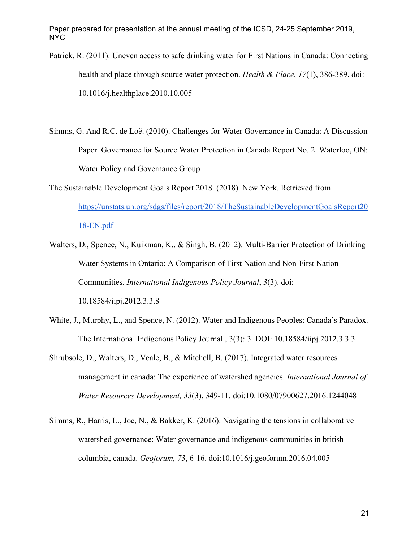- Patrick, R. (2011). Uneven access to safe drinking water for First Nations in Canada: Connecting health and place through source water protection. *Health & Place*, *17*(1), 386-389. doi: 10.1016/j.healthplace.2010.10.005
- Simms, G. And R.C. de Loë. (2010). Challenges for Water Governance in Canada: A Discussion Paper. Governance for Source Water Protection in Canada Report No. 2. Waterloo, ON: Water Policy and Governance Group
- The Sustainable Development Goals Report 2018. (2018). New York. Retrieved from https://unstats.un.org/sdgs/files/report/2018/TheSustainableDevelopmentGoalsReport20 18-EN.pdf
- Walters, D., Spence, N., Kuikman, K., & Singh, B. (2012). Multi-Barrier Protection of Drinking Water Systems in Ontario: A Comparison of First Nation and Non-First Nation Communities. *International Indigenous Policy Journal*, *3*(3). doi: 10.18584/iipj.2012.3.3.8
- White, J., Murphy, L., and Spence, N. (2012). Water and Indigenous Peoples: Canada's Paradox. The International Indigenous Policy Journal., 3(3): 3. DOI: 10.18584/iipj.2012.3.3.3
- Shrubsole, D., Walters, D., Veale, B., & Mitchell, B. (2017). Integrated water resources management in canada: The experience of watershed agencies. *International Journal of Water Resources Development, 33*(3), 349-11. doi:10.1080/07900627.2016.1244048
- Simms, R., Harris, L., Joe, N., & Bakker, K. (2016). Navigating the tensions in collaborative watershed governance: Water governance and indigenous communities in british columbia, canada. *Geoforum, 73*, 6-16. doi:10.1016/j.geoforum.2016.04.005